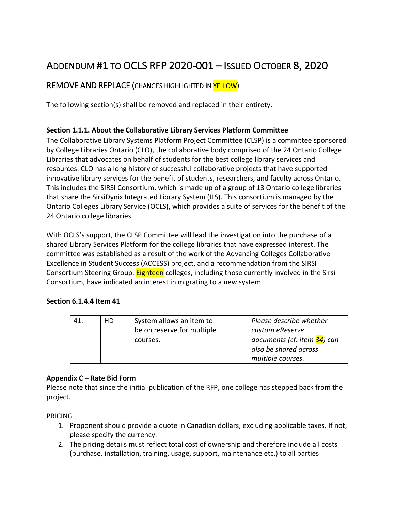# ADDENDUM #1 TO OCLS RFP 2020-001 – ISSUED OCTOBER 8, 2020

## REMOVE AND REPLACE (CHANGES HIGHLIGHTED IN YELLOW)

The following section(s) shall be removed and replaced in their entirety.

#### **Section 1.1.1. About the Collaborative Library Services Platform Committee**

The Collaborative Library Systems Platform Project Committee (CLSP) is a committee sponsored by College Libraries Ontario (CLO), the collaborative body comprised of the 24 Ontario College Libraries that advocates on behalf of students for the best college library services and resources. CLO has a long history of successful collaborative projects that have supported innovative library services for the benefit of students, researchers, and faculty across Ontario. This includes the SIRSI Consortium, which is made up of a group of 13 Ontario college libraries that share the SirsiDynix Integrated Library System (ILS). This consortium is managed by the Ontario Colleges Library Service (OCLS), which provides a suite of services for the benefit of the 24 Ontario college libraries.

With OCLS's support, the CLSP Committee will lead the investigation into the purchase of a shared Library Services Platform for the college libraries that have expressed interest. The committee was established as a result of the work of the Advancing Colleges Collaborative Excellence in Student Success (ACCESS) project, and a recommendation from the SIRSI Consortium Steering Group. **Eighteen** colleges, including those currently involved in the Sirsi Consortium, have indicated an interest in migrating to a new system.

#### **Section 6.1.4.4 Item 41**

| НD | System allows an item to<br>be on reserve for multiple<br>courses. | Please describe whether<br>custom eReserve<br>documents (cf. item 34) can<br>also be shared across |
|----|--------------------------------------------------------------------|----------------------------------------------------------------------------------------------------|
|    |                                                                    | multiple courses.                                                                                  |

#### **Appendix C – Rate Bid Form**

Please note that since the initial publication of the RFP, one college has stepped back from the project.

PRICING

- 1. Proponent should provide a quote in Canadian dollars, excluding applicable taxes. If not, please specify the currency.
- 2. The pricing details must reflect total cost of ownership and therefore include all costs (purchase, installation, training, usage, support, maintenance etc.) to all parties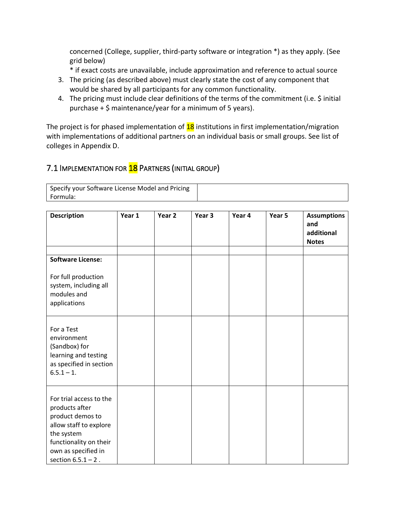concerned (College, supplier, third-party software or integration \*) as they apply. (See grid below)

\* if exact costs are unavailable, include approximation and reference to actual source

- 3. The pricing (as described above) must clearly state the cost of any component that would be shared by all participants for any common functionality.
- 4. The pricing must include clear definitions of the terms of the commitment (i.e. \$ initial purchase + \$ maintenance/year for a minimum of 5 years).

The project is for phased implementation of  $18$  institutions in first implementation/migration with implementations of additional partners on an individual basis or small groups. See list of colleges in Appendix D.

## 7.1 IMPLEMENTATION FOR **18** PARTNERS (INITIAL GROUP)

| Specify your Software License Model and Pricing |  |
|-------------------------------------------------|--|
| Formula:                                        |  |

| <b>Description</b>                                                                                                                                                              | Year 1 | Year 2 | Year 3 | Year 4 | Year 5 | <b>Assumptions</b><br>and<br>additional<br><b>Notes</b> |
|---------------------------------------------------------------------------------------------------------------------------------------------------------------------------------|--------|--------|--------|--------|--------|---------------------------------------------------------|
| <b>Software License:</b><br>For full production<br>system, including all                                                                                                        |        |        |        |        |        |                                                         |
| modules and<br>applications<br>For a Test                                                                                                                                       |        |        |        |        |        |                                                         |
| environment<br>(Sandbox) for<br>learning and testing<br>as specified in section<br>$6.5.1 - 1.$                                                                                 |        |        |        |        |        |                                                         |
| For trial access to the<br>products after<br>product demos to<br>allow staff to explore<br>the system<br>functionality on their<br>own as specified in<br>section $6.5.1 - 2$ . |        |        |        |        |        |                                                         |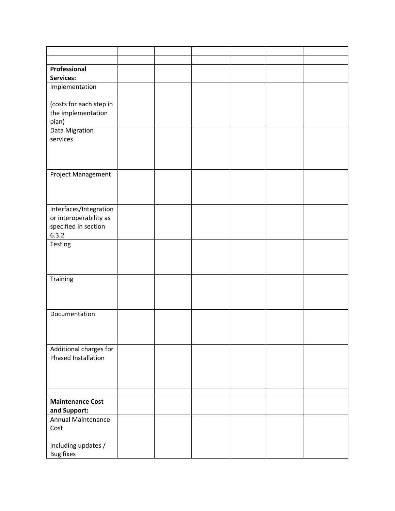| Professional                                  |  |  |  |
|-----------------------------------------------|--|--|--|
| Services:                                     |  |  |  |
| Implementation                                |  |  |  |
| (costs for each step in                       |  |  |  |
| the implementation                            |  |  |  |
| plan)                                         |  |  |  |
| Data Migration                                |  |  |  |
| services                                      |  |  |  |
|                                               |  |  |  |
|                                               |  |  |  |
|                                               |  |  |  |
| Project Management                            |  |  |  |
|                                               |  |  |  |
|                                               |  |  |  |
| Interfaces/Integration                        |  |  |  |
| or interoperability as                        |  |  |  |
| specified in section                          |  |  |  |
| 6.3.2                                         |  |  |  |
| Testing                                       |  |  |  |
|                                               |  |  |  |
|                                               |  |  |  |
| Training                                      |  |  |  |
|                                               |  |  |  |
|                                               |  |  |  |
|                                               |  |  |  |
| Documentation                                 |  |  |  |
|                                               |  |  |  |
|                                               |  |  |  |
|                                               |  |  |  |
| Additional charges for<br>Phased Installation |  |  |  |
|                                               |  |  |  |
|                                               |  |  |  |
|                                               |  |  |  |
|                                               |  |  |  |
| <b>Maintenance Cost</b>                       |  |  |  |
| and Support:                                  |  |  |  |
| Annual Maintenance                            |  |  |  |
| Cost                                          |  |  |  |
|                                               |  |  |  |
| Including updates /                           |  |  |  |
| <b>Bug fixes</b>                              |  |  |  |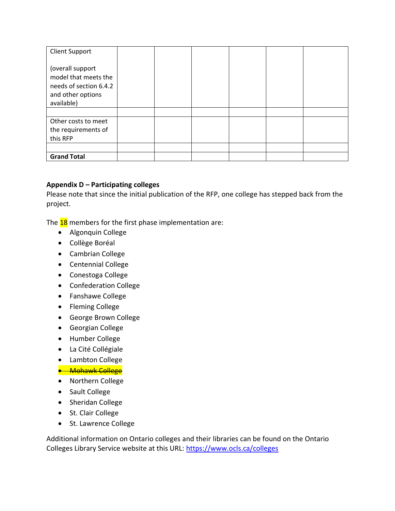| <b>Client Support</b>                                                                                 |  |  |  |
|-------------------------------------------------------------------------------------------------------|--|--|--|
| (overall support<br>model that meets the<br>needs of section 6.4.2<br>and other options<br>available) |  |  |  |
|                                                                                                       |  |  |  |
| Other costs to meet<br>the requirements of<br>this RFP                                                |  |  |  |
|                                                                                                       |  |  |  |
| <b>Grand Total</b>                                                                                    |  |  |  |

#### **Appendix D – Participating colleges**

Please note that since the initial publication of the RFP, one college has stepped back from the project.

The  $18$  members for the first phase implementation are:

- Algonquin College
- Collège Boréal
- Cambrian College
- Centennial College
- Conestoga College
- Confederation College
- Fanshawe College
- Fleming College
- George Brown College
- Georgian College
- Humber College
- La Cité Collégiale
- Lambton College
- **Mohawk College**
- Northern College
- Sault College
- Sheridan College
- St. Clair College
- St. Lawrence College

Additional information on Ontario colleges and their libraries can be found on the Ontario Colleges Library Service website at this URL:<https://www.ocls.ca/colleges>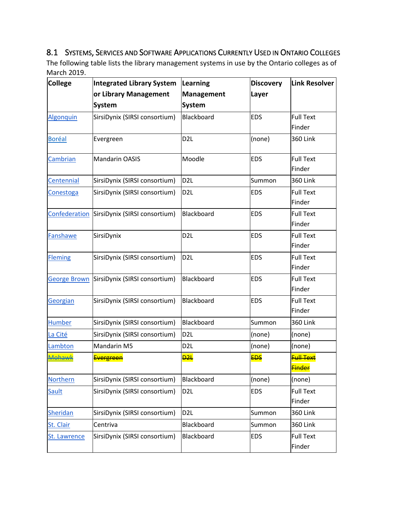## 8.1 SYSTEMS, SERVICES AND SOFTWARE APPLICATIONS CURRENTLY USED IN ONTARIO COLLEGES

The following table lists the library management systems in use by the Ontario colleges as of March 2019.

| <b>College</b>      | <b>Integrated Library System</b>            | Learning          | <b>Discovery</b> | Link Resolver                           |
|---------------------|---------------------------------------------|-------------------|------------------|-----------------------------------------|
|                     | or Library Management                       | <b>Management</b> | Layer            |                                         |
|                     | <b>System</b>                               | <b>System</b>     |                  |                                         |
| Algonquin           | SirsiDynix (SIRSI consortium)               | Blackboard        | <b>EDS</b>       | <b>Full Text</b>                        |
|                     |                                             |                   |                  | Finder                                  |
| <b>Boréal</b>       | Evergreen                                   | D <sub>2L</sub>   | (none)           | <b>360 Link</b>                         |
| Cambrian            | <b>Mandarin OASIS</b>                       | Moodle            | <b>EDS</b>       | <b>Full Text</b><br>Finder              |
| Centennial          | SirsiDynix (SIRSI consortium)               | D <sub>2L</sub>   | Summon           | <b>360 Link</b>                         |
| Conestoga           | SirsiDynix (SIRSI consortium)               | D <sub>2L</sub>   | <b>EDS</b>       | <b>Full Text</b><br>Finder              |
|                     | Confederation SirsiDynix (SIRSI consortium) | Blackboard        | <b>EDS</b>       | <b>Full Text</b><br>Finder              |
| Fanshawe            | SirsiDynix                                  | D <sub>2L</sub>   | <b>EDS</b>       | <b>Full Text</b><br>Finder              |
| <b>Fleming</b>      | SirsiDynix (SIRSI consortium)               | D <sub>2L</sub>   | <b>EDS</b>       | <b>Full Text</b><br>Finder              |
| <b>George Brown</b> | SirsiDynix (SIRSI consortium)               | Blackboard        | <b>EDS</b>       | <b>Full Text</b><br>Finder              |
| Georgian            | SirsiDynix (SIRSI consortium)               | Blackboard        | <b>EDS</b>       | <b>Full Text</b><br>Finder              |
| <b>Humber</b>       | SirsiDynix (SIRSI consortium)               | Blackboard        | Summon           | <b>360 Link</b>                         |
| La Cité             | SirsiDynix (SIRSI consortium)               | D <sub>2L</sub>   | (none)           | (none)                                  |
| Lambton             | Mandarin M5                                 | D <sub>2L</sub>   | (none)           | (none)                                  |
| <b>Mohawk</b>       | <b>Evergreen</b>                            | <del>D2L</del>    | <b>EDS</b>       | <b>Full Text</b><br><mark>Finder</mark> |
| Northern            | SirsiDynix (SIRSI consortium)               | Blackboard        | (none)           | (none)                                  |
| Sault               | SirsiDynix (SIRSI consortium)               | D <sub>2L</sub>   | <b>EDS</b>       | <b>Full Text</b><br>Finder              |
| <b>Sheridan</b>     | SirsiDynix (SIRSI consortium)               | D <sub>2</sub> L  | Summon           | <b>360 Link</b>                         |
| St. Clair           | Centriva                                    | Blackboard        | Summon           | <b>360 Link</b>                         |
| St. Lawrence        | SirsiDynix (SIRSI consortium)               | Blackboard        | <b>EDS</b>       | <b>Full Text</b><br>Finder              |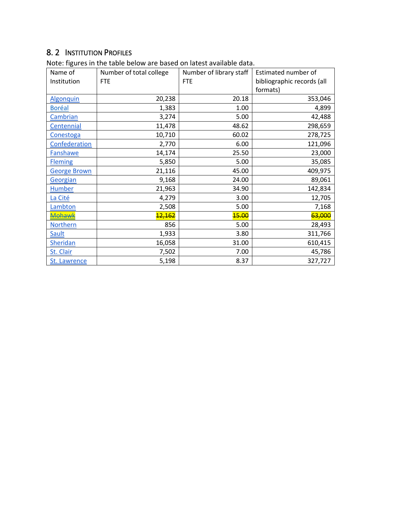## 8. 2 INSTITUTION PROFILES

| Name of             | Number of total college | Number of library staff | Estimated number of        |
|---------------------|-------------------------|-------------------------|----------------------------|
| Institution         | <b>FTE</b>              | <b>FTE</b>              | bibliographic records (all |
|                     |                         |                         | formats)                   |
| <b>Algonquin</b>    | 20,238                  | 20.18                   | 353,046                    |
| <b>Boréal</b>       | 1,383                   | 1.00                    | 4,899                      |
| Cambrian            | 3,274                   | 5.00                    | 42,488                     |
| Centennial          | 11,478                  | 48.62                   | 298,659                    |
| Conestoga           | 10,710                  | 60.02                   | 278,725                    |
| Confederation       | 2,770                   | 6.00                    | 121,096                    |
| <b>Fanshawe</b>     | 14,174                  | 25.50                   | 23,000                     |
| <b>Fleming</b>      | 5,850                   | 5.00                    | 35,085                     |
| <b>George Brown</b> | 21,116                  | 45.00                   | 409,975                    |
| Georgian            | 9,168                   | 24.00                   | 89,061                     |
| <b>Humber</b>       | 21,963                  | 34.90                   | 142,834                    |
| La Cité             | 4,279                   | 3.00                    | 12,705                     |
| Lambton             | 2,508                   | 5.00                    | 7,168                      |
| Mohawk              | <mark>12,162</mark>     | <b>15.00</b>            | 63,000                     |
| Northern            | 856                     | 5.00                    | 28,493                     |
| Sault               | 1,933                   | 3.80                    | 311,766                    |
| Sheridan            | 16,058                  | 31.00                   | 610,415                    |
| St. Clair           | 7,502                   | 7.00                    | 45,786                     |
| St. Lawrence        | 5,198                   | 8.37                    | 327,727                    |

Note: figures in the table below are based on latest available data.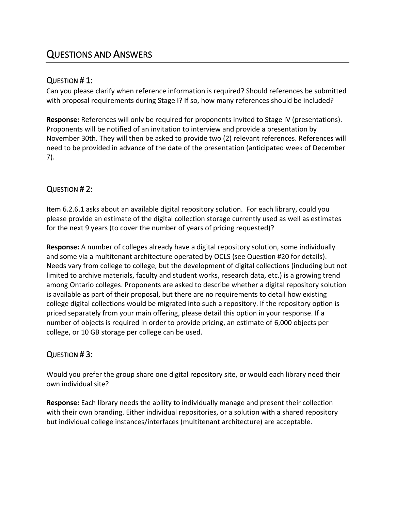## QUESTIONS AND ANSWERS

#### QUESTION # 1:

Can you please clarify when reference information is required? Should references be submitted with proposal requirements during Stage I? If so, how many references should be included?

**Response:** References will only be required for proponents invited to Stage IV (presentations). Proponents will be notified of an invitation to interview and provide a presentation by November 30th. They will then be asked to provide two (2) relevant references. References will need to be provided in advance of the date of the presentation (anticipated week of December 7).

## QUESTION # 2:

Item 6.2.6.1 asks about an available digital repository solution. For each library, could you please provide an estimate of the digital collection storage currently used as well as estimates for the next 9 years (to cover the number of years of pricing requested)?

**Response:** A number of colleges already have a digital repository solution, some individually and some via a multitenant architecture operated by OCLS (see Question #20 for details). Needs vary from college to college, but the development of digital collections (including but not limited to archive materials, faculty and student works, research data, etc.) is a growing trend among Ontario colleges. Proponents are asked to describe whether a digital repository solution is available as part of their proposal, but there are no requirements to detail how existing college digital collections would be migrated into such a repository. If the repository option is priced separately from your main offering, please detail this option in your response. If a number of objects is required in order to provide pricing, an estimate of 6,000 objects per college, or 10 GB storage per college can be used.

## QUESTION # 3:

Would you prefer the group share one digital repository site, or would each library need their own individual site?

**Response:** Each library needs the ability to individually manage and present their collection with their own branding. Either individual repositories, or a solution with a shared repository but individual college instances/interfaces (multitenant architecture) are acceptable.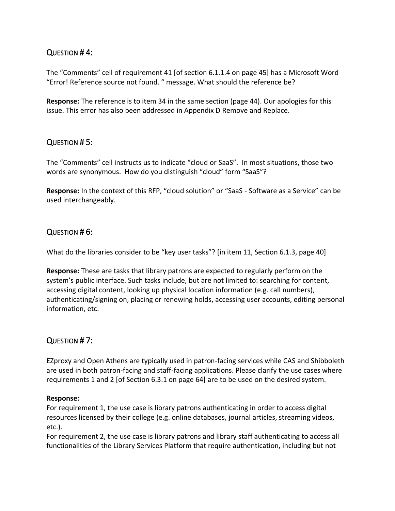#### QUESTION # 4:

The "Comments" cell of requirement 41 [of section 6.1.1.4 on page 45] has a Microsoft Word "Error! Reference source not found. " message. What should the reference be?

**Response:** The reference is to item 34 in the same section (page 44). Our apologies for this issue. This error has also been addressed in Appendix D Remove and Replace.

#### QUESTION # 5:

The "Comments" cell instructs us to indicate "cloud or SaaS". In most situations, those two words are synonymous. How do you distinguish "cloud" form "SaaS"?

**Response:** In the context of this RFP, "cloud solution" or "SaaS - Software as a Service" can be used interchangeably.

#### QUESTION # 6:

What do the libraries consider to be "key user tasks"? [in item 11, Section 6.1.3, page 40]

**Response:** These are tasks that library patrons are expected to regularly perform on the system's public interface. Such tasks include, but are not limited to: searching for content, accessing digital content, looking up physical location information (e.g. call numbers), authenticating/signing on, placing or renewing holds, accessing user accounts, editing personal information, etc.

#### QUESTION # 7:

EZproxy and Open Athens are typically used in patron-facing services while CAS and Shibboleth are used in both patron-facing and staff-facing applications. Please clarify the use cases where requirements 1 and 2 [of Section 6.3.1 on page 64] are to be used on the desired system.

#### **Response:**

For requirement 1, the use case is library patrons authenticating in order to access digital resources licensed by their college (e.g. online databases, journal articles, streaming videos, etc.).

For requirement 2, the use case is library patrons and library staff authenticating to access all functionalities of the Library Services Platform that require authentication, including but not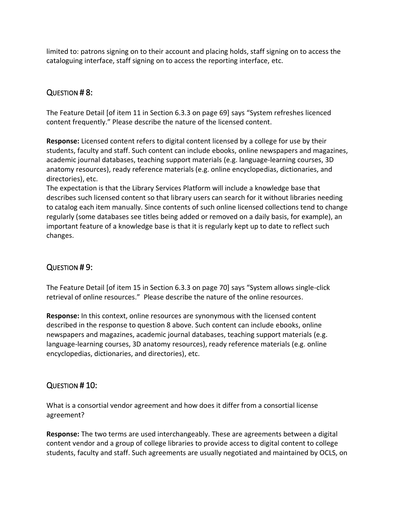limited to: patrons signing on to their account and placing holds, staff signing on to access the cataloguing interface, staff signing on to access the reporting interface, etc.

### QUESTION # 8:

The Feature Detail [of item 11 in Section 6.3.3 on page 69] says "System refreshes licenced content frequently." Please describe the nature of the licensed content.

**Response:** Licensed content refers to digital content licensed by a college for use by their students, faculty and staff. Such content can include ebooks, online newspapers and magazines, academic journal databases, teaching support materials (e.g. language-learning courses, 3D anatomy resources), ready reference materials (e.g. online encyclopedias, dictionaries, and directories), etc.

The expectation is that the Library Services Platform will include a knowledge base that describes such licensed content so that library users can search for it without libraries needing to catalog each item manually. Since contents of such online licensed collections tend to change regularly (some databases see titles being added or removed on a daily basis, for example), an important feature of a knowledge base is that it is regularly kept up to date to reflect such changes.

## QUESTION # 9:

The Feature Detail [of item 15 in Section 6.3.3 on page 70] says "System allows single-click retrieval of online resources." Please describe the nature of the online resources.

**Response:** In this context, online resources are synonymous with the licensed content described in the response to question 8 above. Such content can include ebooks, online newspapers and magazines, academic journal databases, teaching support materials (e.g. language-learning courses, 3D anatomy resources), ready reference materials (e.g. online encyclopedias, dictionaries, and directories), etc.

#### QUESTION # 10:

What is a consortial vendor agreement and how does it differ from a consortial license agreement?

**Response:** The two terms are used interchangeably. These are agreements between a digital content vendor and a group of college libraries to provide access to digital content to college students, faculty and staff. Such agreements are usually negotiated and maintained by OCLS, on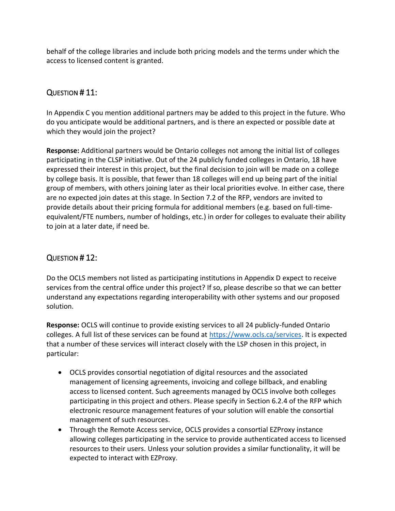behalf of the college libraries and include both pricing models and the terms under which the access to licensed content is granted.

## QUESTION # 11:

In Appendix C you mention additional partners may be added to this project in the future. Who do you anticipate would be additional partners, and is there an expected or possible date at which they would join the project?

**Response:** Additional partners would be Ontario colleges not among the initial list of colleges participating in the CLSP initiative. Out of the 24 publicly funded colleges in Ontario, 18 have expressed their interest in this project, but the final decision to join will be made on a college by college basis. It is possible, that fewer than 18 colleges will end up being part of the initial group of members, with others joining later as their local priorities evolve. In either case, there are no expected join dates at this stage. In Section 7.2 of the RFP, vendors are invited to provide details about their pricing formula for additional members (e.g. based on full-timeequivalent/FTE numbers, number of holdings, etc.) in order for colleges to evaluate their ability to join at a later date, if need be.

## QUESTION # 12:

Do the OCLS members not listed as participating institutions in Appendix D expect to receive services from the central office under this project? If so, please describe so that we can better understand any expectations regarding interoperability with other systems and our proposed solution.

**Response:** OCLS will continue to provide existing services to all 24 publicly-funded Ontario colleges. A full list of these services can be found at [https://www.ocls.ca/services.](https://www.ocls.ca/services) It is expected that a number of these services will interact closely with the LSP chosen in this project, in particular:

- OCLS provides consortial negotiation of digital resources and the associated management of licensing agreements, invoicing and college billback, and enabling access to licensed content. Such agreements managed by OCLS involve both colleges participating in this project and others. Please specify in Section 6.2.4 of the RFP which electronic resource management features of your solution will enable the consortial management of such resources.
- Through the Remote Access service, OCLS provides a consortial EZProxy instance allowing colleges participating in the service to provide authenticated access to licensed resources to their users. Unless your solution provides a similar functionality, it will be expected to interact with EZProxy.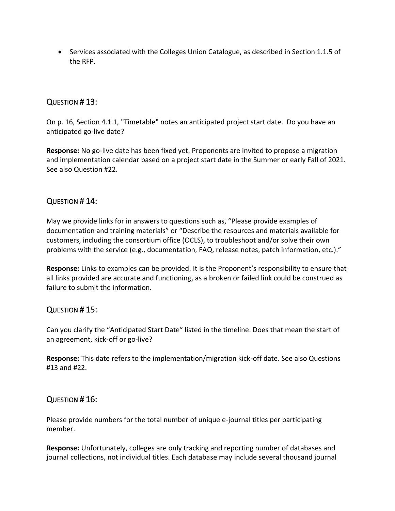• Services associated with the Colleges Union Catalogue, as described in Section 1.1.5 of the RFP.

#### QUESTION # 13:

On p. 16, Section 4.1.1, "Timetable" notes an anticipated project start date. Do you have an anticipated go-live date?

**Response:** No go-live date has been fixed yet. Proponents are invited to propose a migration and implementation calendar based on a project start date in the Summer or early Fall of 2021. See also Question #22.

#### QUESTION # 14:

May we provide links for in answers to questions such as, "Please provide examples of documentation and training materials" or "Describe the resources and materials available for customers, including the consortium office (OCLS), to troubleshoot and/or solve their own problems with the service (e.g., documentation, FAQ, release notes, patch information, etc.)."

**Response:** Links to examples can be provided. It is the Proponent's responsibility to ensure that all links provided are accurate and functioning, as a broken or failed link could be construed as failure to submit the information.

#### QUESTION # 15:

Can you clarify the "Anticipated Start Date" listed in the timeline. Does that mean the start of an agreement, kick-off or go-live?

**Response:** This date refers to the implementation/migration kick-off date. See also Questions #13 and #22.

#### QUESTION # 16:

Please provide numbers for the total number of unique e-journal titles per participating member.

**Response:** Unfortunately, colleges are only tracking and reporting number of databases and journal collections, not individual titles. Each database may include several thousand journal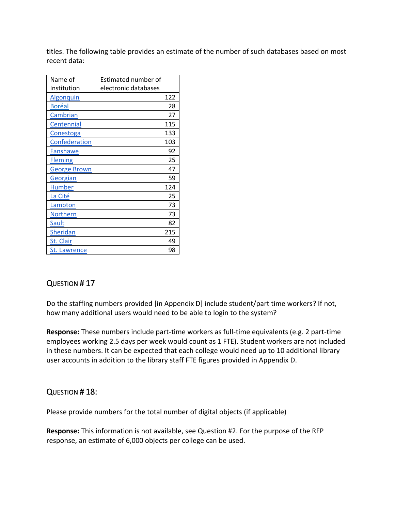titles. The following table provides an estimate of the number of such databases based on most recent data:

| Name of             | <b>Estimated number of</b> |     |
|---------------------|----------------------------|-----|
| Institution         | electronic databases       |     |
| Algonquin           |                            | 122 |
| <b>Boréal</b>       |                            | 28  |
| Cambrian            |                            | 27  |
| Centennial          |                            | 115 |
| Conestoga           |                            | 133 |
| Confederation       |                            | 103 |
| Fanshawe            |                            | 92  |
| <b>Fleming</b>      |                            | 25  |
| <b>George Brown</b> |                            | 47  |
| Georgian            |                            | 59  |
| <b>Humber</b>       |                            | 124 |
| La Cité             |                            | 25  |
| Lambton             |                            | 73  |
| <b>Northern</b>     |                            | 73  |
| Sault               |                            | 82  |
| Sheridan            |                            | 215 |
| St. Clair           |                            | 49  |
| <b>St. Lawrence</b> |                            | 98  |

## QUESTION # 17

Do the staffing numbers provided [in Appendix D] include student/part time workers? If not, how many additional users would need to be able to login to the system?

**Response:** These numbers include part-time workers as full-time equivalents (e.g. 2 part-time employees working 2.5 days per week would count as 1 FTE). Student workers are not included in these numbers. It can be expected that each college would need up to 10 additional library user accounts in addition to the library staff FTE figures provided in Appendix D.

#### QUESTION # 18:

Please provide numbers for the total number of digital objects (if applicable)

**Response:** This information is not available, see Question #2. For the purpose of the RFP response, an estimate of 6,000 objects per college can be used.